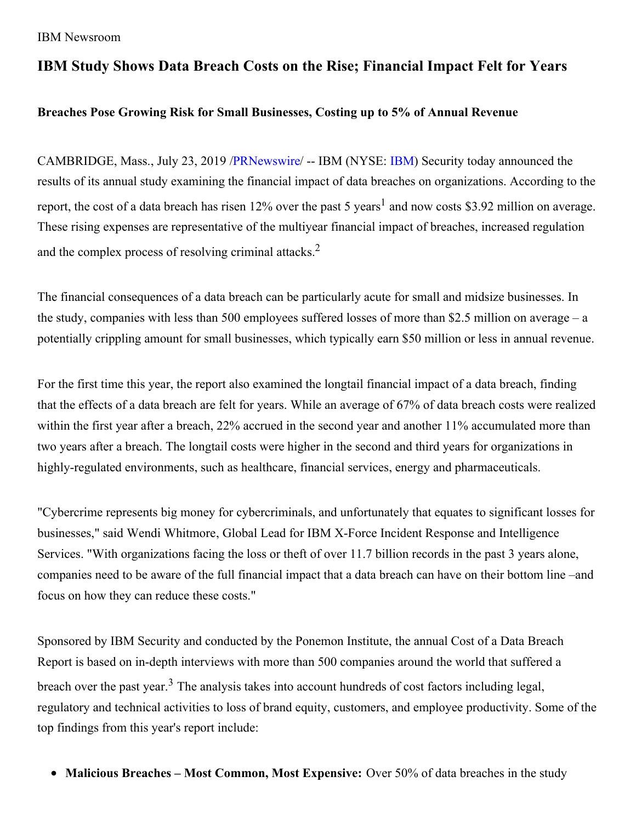# **IBM Study Shows Data Breach Costs on the Rise; Financial Impact Felt for Years**

### **Breaches Pose Growing Risk for Small Businesses, Costing up to 5% of Annual Revenue**

CAMBRIDGE, Mass., July 23, 2019 [/PRNewswire](http://www.prnewswire.com/)/ -- IBM (NYSE: [IBM](https://c212.net/c/link/?t=0&l=en&o=2531681-1&h=3508146846&u=http%3A%2F%2Fwww.ibm.com%2Finvestor&a=IBM)) Security today announced the results of its annual study examining the financial impact of data breaches on organizations. According to the report, the cost of a data breach has risen 12% over the past 5 years<sup>1</sup> and now costs \$3.92 million on average. These rising expenses are representative of the multiyear financial impact of breaches, increased regulation and the complex process of resolving criminal attacks. $2$ 

The financial consequences of a data breach can be particularly acute for small and midsize businesses. In the study, companies with less than 500 employees suffered losses of more than \$2.5 million on average – a potentially crippling amount for small businesses, which typically earn \$50 million or less in annual revenue.

For the first time this year, the report also examined the longtail financial impact of a data breach, finding that the effects of a data breach are felt for years. While an average of 67% of data breach costs were realized within the first year after a breach, 22% accrued in the second year and another 11% accumulated more than two years after a breach. The longtail costs were higher in the second and third years for organizations in highly-regulated environments, such as healthcare, financial services, energy and pharmaceuticals.

"Cybercrime represents big money for cybercriminals, and unfortunately that equates to significant losses for businesses," said Wendi Whitmore, Global Lead for IBM X-Force Incident Response and Intelligence Services. "With organizations facing the loss or theft of over 11.7 billion records in the past 3 years alone, companies need to be aware of the full financial impact that a data breach can have on their bottom line –and focus on how they can reduce these costs."

Sponsored by IBM Security and conducted by the Ponemon Institute, the annual Cost of a Data Breach Report is based on in-depth interviews with more than 500 companies around the world that suffered a breach over the past year.<sup>3</sup> The analysis takes into account hundreds of cost factors including legal, regulatory and technical activities to loss of brand equity, customers, and employee productivity. Some of the top findings from this year's report include:

**Malicious Breaches – Most Common, Most Expensive:** Over 50% of data breaches in the study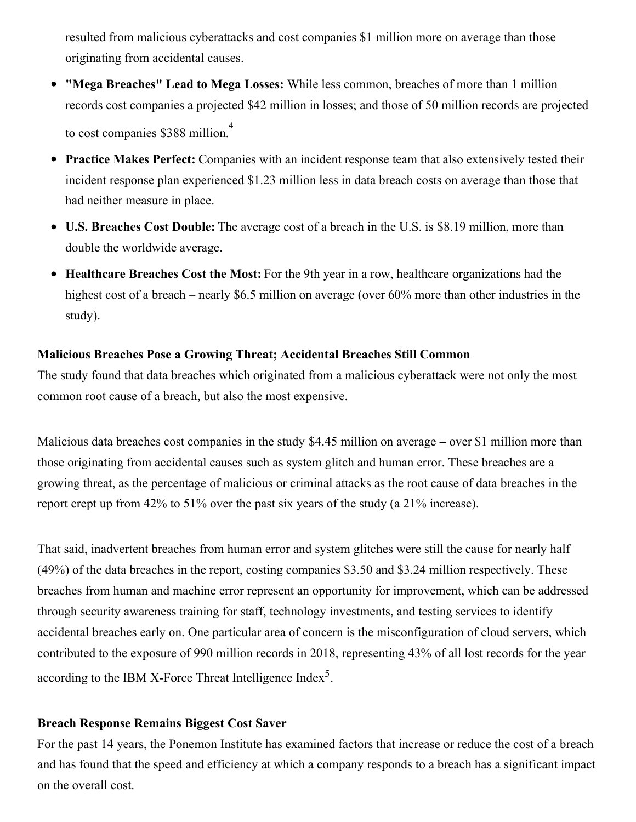resulted from malicious cyberattacks and cost companies \$1 million more on average than those originating from accidental causes.

- **"Mega Breaches" Lead to Mega Losses:** While less common, breaches of more than 1 million records cost companies a projected \$42 million in losses; and those of 50 million records are projected to cost companies \$388 million. 4
- **Practice Makes Perfect:** Companies with an incident response team that also extensively tested their incident response plan experienced \$1.23 million less in data breach costs on average than those that had neither measure in place.
- **U.S. Breaches Cost Double:** The average cost of a breach in the U.S. is \$8.19 million, more than double the worldwide average.
- **Healthcare Breaches Cost the Most:** For the 9th year in a row, healthcare organizations had the highest cost of a breach – nearly \$6.5 million on average (over 60% more than other industries in the study).

#### **Malicious Breaches Pose a Growing Threat; Accidental Breaches Still Common**

The study found that data breaches which originated from a malicious cyberattack were not only the most common root cause of a breach, but also the most expensive.

Malicious data breaches cost companies in the study \$4.45 million on average **–** over \$1 million more than those originating from accidental causes such as system glitch and human error. These breaches are a growing threat, as the percentage of malicious or criminal attacks as the root cause of data breaches in the report crept up from 42% to 51% over the past six years of the study (a 21% increase).

That said, inadvertent breaches from human error and system glitches were still the cause for nearly half (49%) of the data breaches in the report, costing companies \$3.50 and \$3.24 million respectively. These breaches from human and machine error represent an opportunity for improvement, which can be addressed through security awareness training for staff, technology investments, and testing services to identify accidental breaches early on. One particular area of concern is the misconfiguration of cloud servers, which contributed to the exposure of 990 million records in 2018, representing 43% of all lost records for the year according to the IBM X-Force Threat Intelligence Index<sup>5</sup>.

#### **Breach Response Remains Biggest Cost Saver**

For the past 14 years, the Ponemon Institute has examined factors that increase or reduce the cost of a breach and has found that the speed and efficiency at which a company responds to a breach has a significant impact on the overall cost.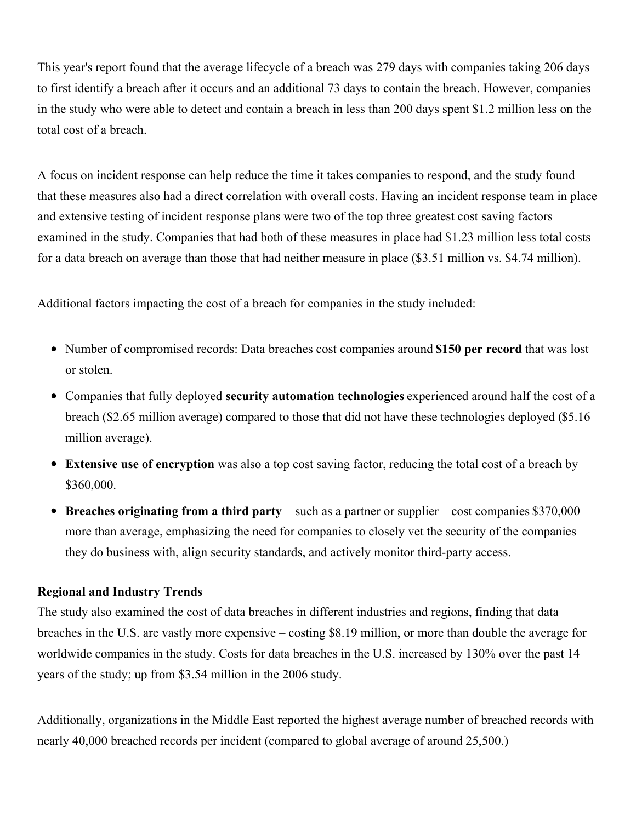This year's report found that the average lifecycle of a breach was 279 days with companies taking 206 days to first identify a breach after it occurs and an additional 73 days to contain the breach. However, companies in the study who were able to detect and contain a breach in less than 200 days spent \$1.2 million less on the total cost of a breach.

A focus on incident response can help reduce the time it takes companies to respond, and the study found that these measures also had a direct correlation with overall costs. Having an incident response team in place and extensive testing of incident response plans were two of the top three greatest cost saving factors examined in the study. Companies that had both of these measures in place had \$1.23 million less total costs for a data breach on average than those that had neither measure in place (\$3.51 million vs. \$4.74 million).

Additional factors impacting the cost of a breach for companies in the study included:

- Number of compromised records: Data breaches cost companies around **\$150 per record** that was lost or stolen.
- Companies that fully deployed **security automation technologies** experienced around half the cost of a breach (\$2.65 million average) compared to those that did not have these technologies deployed (\$5.16 million average).
- **Extensive use of encryption** was also a top cost saving factor, reducing the total cost of a breach by \$360,000.
- **Breaches originating from a third party** such as a partner or supplier cost companies \$370,000 more than average, emphasizing the need for companies to closely vet the security of the companies they do business with, align security standards, and actively monitor third-party access.

#### **Regional and Industry Trends**

The study also examined the cost of data breaches in different industries and regions, finding that data breaches in the U.S. are vastly more expensive – costing \$8.19 million, or more than double the average for worldwide companies in the study. Costs for data breaches in the U.S. increased by 130% over the past 14 years of the study; up from \$3.54 million in the 2006 study.

Additionally, organizations in the Middle East reported the highest average number of breached records with nearly 40,000 breached records per incident (compared to global average of around 25,500.)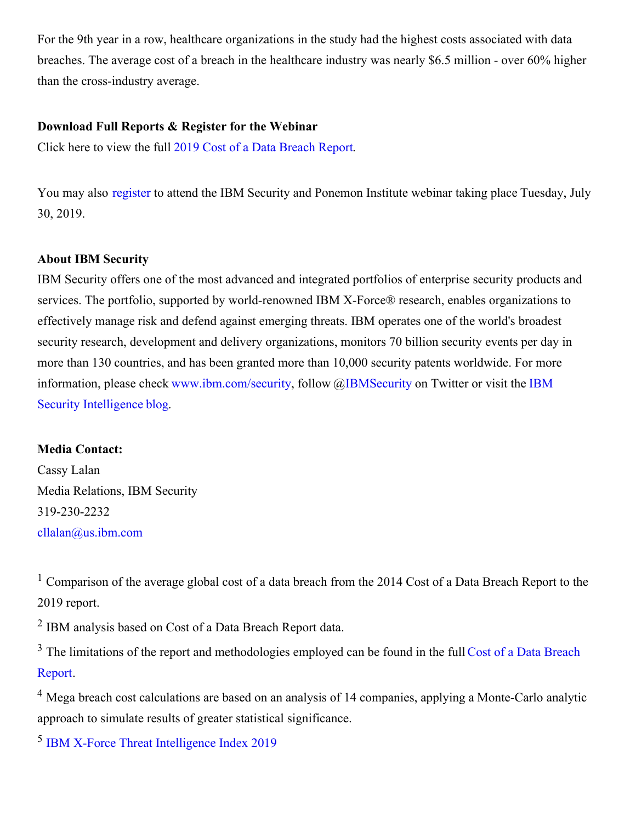For the 9th year in a row, healthcare organizations in the study had the highest costs associated with data breaches. The average cost of a breach in the healthcare industry was nearly \$6.5 million - over 60% higher than the cross-industry average.

#### **Download Full Reports & Register for the Webinar**

Click here to view the full 2019 Cost of a Data [Breach](https://c212.net/c/link/?t=0&l=en&o=2531681-1&h=1761758240&u=https%3A%2F%2Fdatabreachcalculator.mybluemix.net%2F&a=2019+Cost+of+a+Data+Breach+Report) Report.

You may also [register](https://c212.net/c/link/?t=0&l=en&o=2531681-1&h=3942597646&u=https%3A%2F%2Fevent.on24.com%2FeventRegistration%2FEventLobbyServlet%3Ftarget%3Dreg20.jsp%26cm_mc_uid%3D18505457745315212195156%26cm_mc_sid_50200000%3D89324131563394345464%26eventid%3D2029223%26sessionid%3D1%26key%3DD7122B92EA75EA5791F218018145FC8F%26regTag%3D%26sourcepage%3Dregister&a=register) to attend the IBM Security and Ponemon Institute webinar taking place Tuesday, July 30, 2019.

#### **About IBM Security**

IBM Security offers one of the most advanced and integrated portfolios of enterprise security products and services. The portfolio, supported by world-renowned IBM X-Force® research, enables organizations to effectively manage risk and defend against emerging threats. IBM operates one of the world's broadest security research, development and delivery organizations, monitors 70 billion security events per day in more than 130 countries, and has been granted more than 10,000 security patents worldwide. For more information, please check [www.ibm.com/securit](https://c212.net/c/link/?t=0&l=en&o=2531681-1&h=3704743972&u=https%3A%2F%2Fc212.net%2Fc%2Flink%2F%3Ft%3D0%26l%3Den%26o%3D2433262-1%26h%3D3948607165%26u%3Dhttp%253A%252F%252Fwww.ibm.com%252Fsecurity%26a%3Dwww.ibm.com%252Fsecurity&a=www.ibm.com%2Fsecurity)[y,](https://c212.net/c/link/?t=0&l=en&o=2531681-1&h=1729736944&u=https%3A%2F%2Fc212.net%2Fc%2Flink%2F%3Ft%3D0%26l%3Den%26o%3D2433262-1%26h%3D2430183222%26u%3Dhttp%253A%252F%252Fsecurityintelligence.com%252F%26a%3DIBM%2BSecurity%2BIntelligence%25E2%2580%25AFblog&a=IBM+Security+Intelligence%E2%80%AFblog) follow @[IBMSecurity](https://c212.net/c/link/?t=0&l=en&o=2531681-1&h=803548485&u=https%3A%2F%2Fc212.net%2Fc%2Flink%2F%3Ft%3D0%26l%3Den%26o%3D2433262-1%26h%3D2941630816%26u%3Dhttps%253A%252F%252Ftwitter.com%252Fibmsecurity%26a%3DIBMSecurity&a=IBMSecurity) on Twitter or visit the IBM Security Intelligence blog.

#### **Media Contact:**

Cassy Lalan Media Relations, IBM Security 319-230-2232 [cllalan@us.ibm.com](mailto:cllalan@us.ibm.com)

<sup>1</sup> Comparison of the average global cost of a data breach from the 2014 Cost of a Data Breach Report to the 2019 report.

<sup>2</sup> IBM analysis based on Cost of a Data Breach Report data.

<sup>3</sup> The limitations of the report and [methodologies](https://c212.net/c/link/?t=0&l=en&o=2531681-1&h=3674604698&u=https%3A%2F%2Fdatabreachcalculator.mybluemix.net%2F&a=Cost+of+a+Data+Breach+Report) employed can be found in the full Cost of a Data Breach Report.

<sup>4</sup> Mega breach cost calculations are based on an analysis of 14 companies, applying a Monte-Carlo analytic approach to simulate results of greater statistical significance.

5 IBM X-Force Threat [Intelligence](https://c212.net/c/link/?t=0&l=en&o=2531681-1&h=1408505681&u=https%3A%2F%2Fwww.ibm.com%2Fsecurity%2Fdata-breach%2Fthreat-intelligence&a=IBM+X-Force+Threat+Intelligence+Index+2019) Index 2019